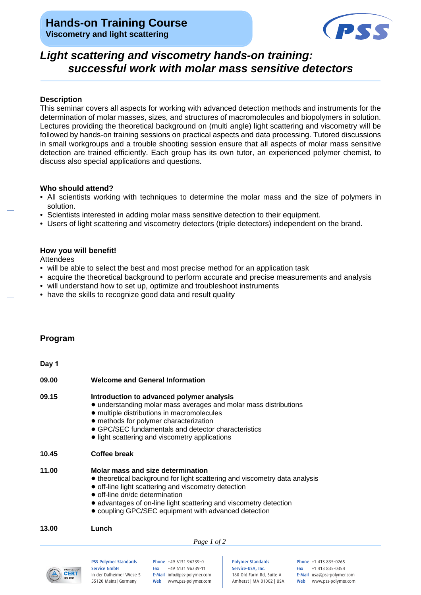## **Hands-on Training Course Viscometry and light scattering**



# *Light scattering and viscometry hands-on training: successful work with molar mass sensitive detectors*

#### **Description**

This seminar covers all aspects for working with advanced detection methods and instruments for the determination of molar masses, sizes, and structures of macromolecules and biopolymers in solution. Lectures providing the theoretical background on (multi angle) light scattering and viscometry will be followed by hands-on training sessions on practical aspects and data processing. Tutored discussions in small workgroups and a trouble shooting session ensure that all aspects of molar mass sensitive detection are trained efficiently. Each group has its own tutor, an experienced polymer chemist, to discuss also special applications and questions.

#### **Who should attend?**

- All scientists working with techniques to determine the molar mass and the size of polymers in solution.
- Scientists interested in adding molar mass sensitive detection to their equipment.
- Users of light scattering and viscometry detectors (triple detectors) independent on the brand.

### **How you will benefit!**

Attendees

- will be able to select the best and most precise method for an application task
- acquire the theoretical background to perform accurate and precise measurements and analysis
- will understand how to set up, optimize and troubleshoot instruments
- have the skills to recognize good data and result quality

### **Program**

**Day 1**

| 09.00 | <b>Welcome and General Information</b>                                                                                                                                                                                                                                                                                                 |
|-------|----------------------------------------------------------------------------------------------------------------------------------------------------------------------------------------------------------------------------------------------------------------------------------------------------------------------------------------|
| 09.15 | Introduction to advanced polymer analysis<br>• understanding molar mass averages and molar mass distributions<br>• multiple distributions in macromolecules<br>• methods for polymer characterization<br>• GPC/SEC fundamentals and detector characteristics<br>• light scattering and viscometry applications                         |
| 10.45 | Coffee break                                                                                                                                                                                                                                                                                                                           |
| 11.00 | Molar mass and size determination<br>• theoretical background for light scattering and viscometry data analysis<br>• off-line light scattering and viscometry detection<br>• off-line dn/dc determination<br>• advantages of on-line light scattering and viscometry detection<br>• coupling GPC/SEC equipment with advanced detection |
| 13.00 | Lunch                                                                                                                                                                                                                                                                                                                                  |
|       | Page 1 of 2                                                                                                                                                                                                                                                                                                                            |



PSS Polymer Standards Service GmbH In der Dalheimer Wiese 5 55120 Mainz |Germany

Phone +49 6131 96239-0 Fax +49 6131 96239-11 E-Mail info@pss-polymer.com Web www.pss-polymer.com

Polymer Standards Service-USA, Inc. 160 Old Farm Rd, Suite A Amherst | MA 01002 | USA Phone +1 413 835-0265 Fax +1 413 835-0354 E-Mail usa@pss-polymer.com Web www.pss-polymer.com